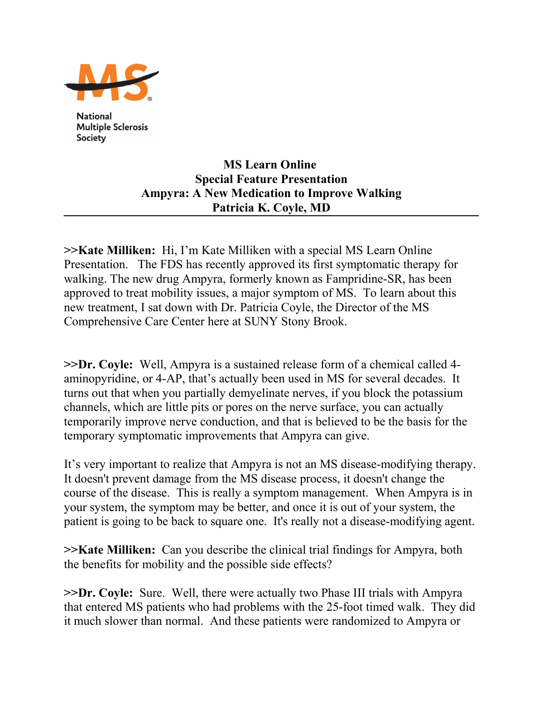

**National Multiple Sclerosis Society** 

## **MS Learn Online Special Feature Presentation Ampyra: A New Medication to Improve Walking Patricia K. Coyle, MD**

**>>Kate Milliken:** Hi, I'm Kate Milliken with a special MS Learn Online Presentation. The FDS has recently approved its first symptomatic therapy for walking. The new drug Ampyra, formerly known as Fampridine-SR, has been approved to treat mobility issues, a major symptom of MS. To learn about this new treatment, I sat down with Dr. Patricia Coyle, the Director of the MS Comprehensive Care Center here at SUNY Stony Brook.

**>>Dr. Coyle:** Well, Ampyra is a sustained release form of a chemical called 4 aminopyridine, or 4-AP, that's actually been used in MS for several decades. It turns out that when you partially demyelinate nerves, if you block the potassium channels, which are little pits or pores on the nerve surface, you can actually temporarily improve nerve conduction, and that is believed to be the basis for the temporary symptomatic improvements that Ampyra can give.

It's very important to realize that Ampyra is not an MS disease-modifying therapy. It doesn't prevent damage from the MS disease process, it doesn't change the course of the disease. This is really a symptom management. When Ampyra is in your system, the symptom may be better, and once it is out of your system, the patient is going to be back to square one. It's really not a disease-modifying agent.

**>>Kate Milliken:** Can you describe the clinical trial findings for Ampyra, both the benefits for mobility and the possible side effects?

**>>Dr. Coyle:** Sure. Well, there were actually two Phase III trials with Ampyra that entered MS patients who had problems with the 25-foot timed walk. They did it much slower than normal. And these patients were randomized to Ampyra or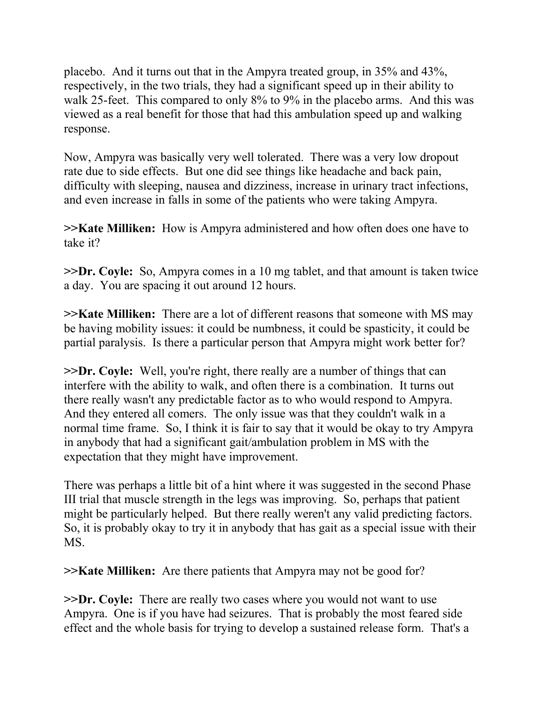placebo. And it turns out that in the Ampyra treated group, in 35% and 43%, respectively, in the two trials, they had a significant speed up in their ability to walk 25-feet. This compared to only 8% to 9% in the placebo arms. And this was viewed as a real benefit for those that had this ambulation speed up and walking response.

Now, Ampyra was basically very well tolerated. There was a very low dropout rate due to side effects. But one did see things like headache and back pain, difficulty with sleeping, nausea and dizziness, increase in urinary tract infections, and even increase in falls in some of the patients who were taking Ampyra.

**>>Kate Milliken:** How is Ampyra administered and how often does one have to take it?

**>>Dr. Coyle:** So, Ampyra comes in a 10 mg tablet, and that amount is taken twice a day. You are spacing it out around 12 hours.

**>>Kate Milliken:** There are a lot of different reasons that someone with MS may be having mobility issues: it could be numbness, it could be spasticity, it could be partial paralysis. Is there a particular person that Ampyra might work better for?

**>>Dr. Coyle:** Well, you're right, there really are a number of things that can interfere with the ability to walk, and often there is a combination. It turns out there really wasn't any predictable factor as to who would respond to Ampyra. And they entered all comers. The only issue was that they couldn't walk in a normal time frame. So, I think it is fair to say that it would be okay to try Ampyra in anybody that had a significant gait/ambulation problem in MS with the expectation that they might have improvement.

There was perhaps a little bit of a hint where it was suggested in the second Phase III trial that muscle strength in the legs was improving. So, perhaps that patient might be particularly helped. But there really weren't any valid predicting factors. So, it is probably okay to try it in anybody that has gait as a special issue with their MS.

**>>Kate Milliken:** Are there patients that Ampyra may not be good for?

**>>Dr. Coyle:** There are really two cases where you would not want to use Ampyra. One is if you have had seizures. That is probably the most feared side effect and the whole basis for trying to develop a sustained release form. That's a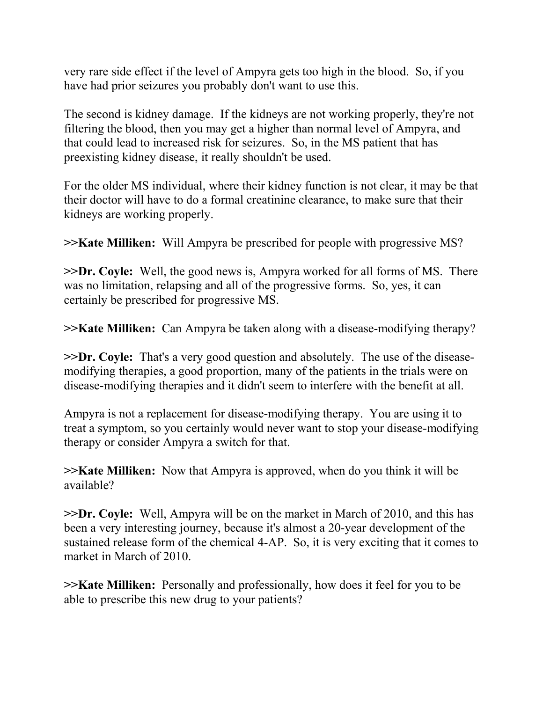very rare side effect if the level of Ampyra gets too high in the blood. So, if you have had prior seizures you probably don't want to use this.

The second is kidney damage. If the kidneys are not working properly, they're not filtering the blood, then you may get a higher than normal level of Ampyra, and that could lead to increased risk for seizures. So, in the MS patient that has preexisting kidney disease, it really shouldn't be used.

For the older MS individual, where their kidney function is not clear, it may be that their doctor will have to do a formal creatinine clearance, to make sure that their kidneys are working properly.

**>>Kate Milliken:** Will Ampyra be prescribed for people with progressive MS?

**>>Dr. Coyle:** Well, the good news is, Ampyra worked for all forms of MS. There was no limitation, relapsing and all of the progressive forms. So, yes, it can certainly be prescribed for progressive MS.

**>>Kate Milliken:** Can Ampyra be taken along with a disease-modifying therapy?

**>>Dr. Coyle:** That's a very good question and absolutely. The use of the diseasemodifying therapies, a good proportion, many of the patients in the trials were on disease-modifying therapies and it didn't seem to interfere with the benefit at all.

Ampyra is not a replacement for disease-modifying therapy. You are using it to treat a symptom, so you certainly would never want to stop your disease-modifying therapy or consider Ampyra a switch for that.

**>>Kate Milliken:** Now that Ampyra is approved, when do you think it will be available?

**>>Dr. Coyle:** Well, Ampyra will be on the market in March of 2010, and this has been a very interesting journey, because it's almost a 20-year development of the sustained release form of the chemical 4-AP. So, it is very exciting that it comes to market in March of 2010.

**>>Kate Milliken:** Personally and professionally, how does it feel for you to be able to prescribe this new drug to your patients?